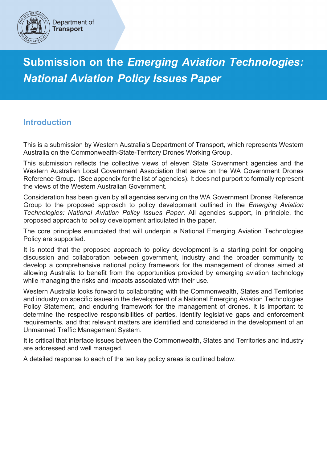

Department of **Transport** 

**Submission on the** *Emerging Aviation Technologies: National Aviation Policy Issues Paper*

# **Introduction**

This is a submission by Western Australia's Department of Transport, which represents Western Australia on the Commonwealth-State-Territory Drones Working Group.

This submission reflects the collective views of eleven State Government agencies and the Western Australian Local Government Association that serve on the WA Government Drones Reference Group. (See appendix for the list of agencies). It does not purport to formally represent the views of the Western Australian Government.

Consideration has been given by all agencies serving on the WA Government Drones Reference Group to the proposed approach to policy development outlined in the *Emerging Aviation Technologies: National Aviation Policy Issues Paper*. All agencies support, in principle, the proposed approach to policy development articulated in the paper.

The core principles enunciated that will underpin a National Emerging Aviation Technologies Policy are supported.

It is noted that the proposed approach to policy development is a starting point for ongoing discussion and collaboration between government, industry and the broader community to develop a comprehensive national policy framework for the management of drones aimed at allowing Australia to benefit from the opportunities provided by emerging aviation technology while managing the risks and impacts associated with their use.

Western Australia looks forward to collaborating with the Commonwealth, States and Territories and industry on specific issues in the development of a National Emerging Aviation Technologies Policy Statement, and enduring framework for the management of drones. It is important to determine the respective responsibilities of parties, identify legislative gaps and enforcement requirements, and that relevant matters are identified and considered in the development of an Unmanned Traffic Management System.

It is critical that interface issues between the Commonwealth, States and Territories and industry are addressed and well managed.

A detailed response to each of the ten key policy areas is outlined below.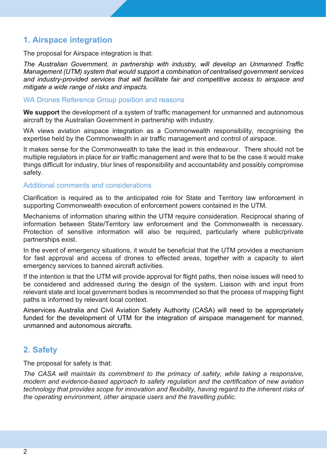# **1. Airspace integration**

The proposal for Airspace integration is that:

*The Australian Government, in partnership with industry, will develop an Unmanned Traffic Management (UTM) system that would support a combination of centralised government services and industry-provided services that will facilitate fair and competitive access to airspace and mitigate a wide range of risks and impacts.*

#### WA Drones Reference Group position and reasons

**We support** the development of a system of traffic management for unmanned and autonomous aircraft by the Australian Government in partnership with industry.

WA views aviation airspace integration as a Commonwealth responsibility, recognising the expertise held by the Commonwealth in air traffic management and control of airspace.

It makes sense for the Commonwealth to take the lead in this endeavour. There should not be multiple regulators in place for air traffic management and were that to be the case it would make things difficult for industry, blur lines of responsibility and accountability and possibly compromise safety.

#### Additional comments and considerations

Clarification is required as to the anticipated role for State and Territory law enforcement in supporting Commonwealth execution of enforcement powers contained in the UTM.

Mechanisms of information sharing within the UTM require consideration. Reciprocal sharing of information between State/Territory law enforcement and the Commonwealth is necessary. Protection of sensitive information will also be required, particularly where public/private partnerships exist.

In the event of emergency situations, it would be beneficial that the UTM provides a mechanism for fast approval and access of drones to effected areas, together with a capacity to alert emergency services to banned aircraft activities.

If the intention is that the UTM will provide approval for flight paths, then noise issues will need to be considered and addressed during the design of the system. Liaison with and input from relevant state and local government bodies is recommended so that the process of mapping flight paths is informed by relevant local context.

Airservices Australia and Civil Aviation Safety Authority (CASA) will need to be appropriately funded for the development of UTM for the integration of airspace management for manned, unmanned and autonomous aircrafts.

# **2. Safety**

The proposal for safety is that:

*The CASA will maintain its commitment to the primacy of safety, while taking a responsive, modern and evidence-based approach to safety regulation and the certification of new aviation technology that provides scope for innovation and flexibility, having regard to the inherent risks of the operating environment, other airspace users and the travelling public.*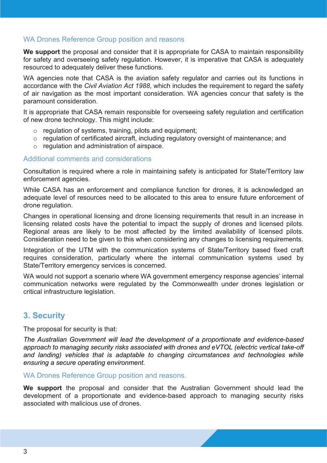### WA Drones Reference Group position and reasons

**We support** the proposal and consider that it is appropriate for CASA to maintain responsibility for safety and overseeing safety regulation. However, it is imperative that CASA is adequately resourced to adequately deliver these functions.

WA agencies note that CASA is the aviation safety regulator and carries out its functions in accordance with the *Civil Aviation Act 1988*, which includes the requirement to regard the safety of air navigation as the most important consideration. WA agencies concur that safety is the paramount consideration.

It is appropriate that CASA remain responsible for overseeing safety regulation and certification of new drone technology. This might include:

- $\circ$  regulation of systems, training, pilots and equipment:
- o regulation of certificated aircraft, including regulatory oversight of maintenance; and
- o regulation and administration of airspace.

#### Additional comments and considerations

Consultation is required where a role in maintaining safety is anticipated for State/Territory law enforcement agencies.

While CASA has an enforcement and compliance function for drones, it is acknowledged an adequate level of resources need to be allocated to this area to ensure future enforcement of drone regulation.

Changes in operational licensing and drone licensing requirements that result in an increase in licensing related costs have the potential to impact the supply of drones and licensed pilots. Regional areas are likely to be most affected by the limited availability of licensed pilots. Consideration need to be given to this when considering any changes to licensing requirements.

Integration of the UTM with the communication systems of State/Territory based fixed craft requires consideration, particularly where the internal communication systems used by State/Territory emergency services is concerned.

WA would not support a scenario where WA government emergency response agencies' internal communication networks were regulated by the Commonwealth under drones legislation or critical infrastructure legislation.

## **3. Security**

The proposal for security is that:

*The Australian Government will lead the development of a proportionate and evidence-based approach to managing security risks associated with drones and eVTOL (electric vertical take-off and landing) vehicles that is adaptable to changing circumstances and technologies while ensuring a secure operating environment.*

#### WA Drones Reference Group position and reasons.

**We support** the proposal and consider that the Australian Government should lead the development of a proportionate and evidence-based approach to managing security risks associated with malicious use of drones.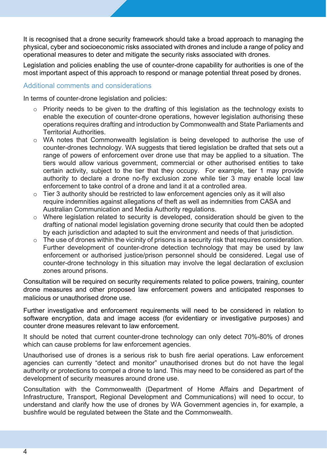It is recognised that a drone security framework should take a broad approach to managing the physical, cyber and socioeconomic risks associated with drones and include a range of policy and operational measures to deter and mitigate the security risks associated with drones.

Legislation and policies enabling the use of counter-drone capability for authorities is one of the most important aspect of this approach to respond or manage potential threat posed by drones.

### Additional comments and considerations

In terms of counter-drone legislation and policies:

- Priority needs to be given to the drafting of this legislation as the technology exists to enable the execution of counter-drone operations, however legislation authorising these operations requires drafting and introduction by Commonwealth and State Parliaments and Territorial Authorities.
- o WA notes that Commonwealth legislation is being developed to authorise the use of counter-drones technology. WA suggests that tiered legislation be drafted that sets out a range of powers of enforcement over drone use that may be applied to a situation. The tiers would allow various government, commercial or other authorised entities to take certain activity, subject to the tier that they occupy. For example, tier 1 may provide authority to declare a drone no-fly exclusion zone while tier 3 may enable local law enforcement to take control of a drone and land it at a controlled area.
- $\circ$  Tier 3 authority should be restricted to law enforcement agencies only as it will also require indemnities against allegations of theft as well as indemnities from CASA and Australian Communication and Media Authority regulations.
- o Where legislation related to security is developed, consideration should be given to the drafting of national model legislation governing drone security that could then be adopted by each jurisdiction and adapted to suit the environment and needs of that jurisdiction.
- $\circ$  The use of drones within the vicinity of prisons is a security risk that requires consideration. Further development of counter-drone detection technology that may be used by law enforcement or authorised justice/prison personnel should be considered. Legal use of counter-drone technology in this situation may involve the legal declaration of exclusion zones around prisons.

Consultation will be required on security requirements related to police powers, training, counter drone measures and other proposed law enforcement powers and anticipated responses to malicious or unauthorised drone use.

Further investigative and enforcement requirements will need to be considered in relation to software encryption, data and image access (for evidentiary or investigative purposes) and counter drone measures relevant to law enforcement.

It should be noted that current counter-drone technology can only detect 70%-80% of drones which can cause problems for law enforcement agencies.

Unauthorised use of drones is a serious risk to bush fire aerial operations. Law enforcement agencies can currently "detect and monitor" unauthorised drones but do not have the legal authority or protections to compel a drone to land. This may need to be considered as part of the development of security measures around drone use.

Consultation with the Commonwealth (Department of Home Affairs and Department of Infrastructure, Transport, Regional Development and Communications) will need to occur, to understand and clarify how the use of drones by WA Government agencies in, for example, a bushfire would be regulated between the State and the Commonwealth.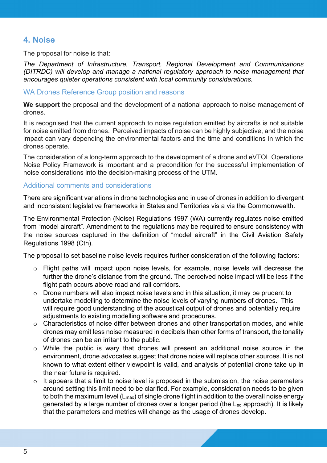# **4. Noise**

The proposal for noise is that:

*The Department of Infrastructure, Transport, Regional Development and Communications (DITRDC) will develop and manage a national regulatory approach to noise management that encourages quieter operations consistent with local community considerations.*

#### WA Drones Reference Group position and reasons

**We support** the proposal and the development of a national approach to noise management of drones.

It is recognised that the current approach to noise regulation emitted by aircrafts is not suitable for noise emitted from drones. Perceived impacts of noise can be highly subjective, and the noise impact can vary depending the environmental factors and the time and conditions in which the drones operate.

The consideration of a long-term approach to the development of a drone and eVTOL Operations Noise Policy Framework is important and a precondition for the successful implementation of noise considerations into the decision-making process of the UTM.

#### Additional comments and considerations

There are significant variations in drone technologies and in use of drones in addition to divergent and inconsistent legislative frameworks in States and Territories vis a vis the Commonwealth.

The Environmental Protection (Noise) Regulations 1997 (WA) currently regulates noise emitted from "model aircraft". Amendment to the regulations may be required to ensure consistency with the noise sources captured in the definition of "model aircraft" in the Civil Aviation Safety Regulations 1998 (Cth).

The proposal to set baseline noise levels requires further consideration of the following factors:

- o Flight paths will impact upon noise levels, for example, noise levels will decrease the further the drone's distance from the ground. The perceived noise impact will be less if the flight path occurs above road and rail corridors.
- $\circ$  Drone numbers will also impact noise levels and in this situation, it may be prudent to undertake modelling to determine the noise levels of varying numbers of drones. This will require good understanding of the acoustical output of drones and potentially require adjustments to existing modelling software and procedures.
- o Characteristics of noise differ between drones and other transportation modes, and while drones may emit less noise measured in decibels than other forms of transport, the tonality of drones can be an irritant to the public.
- o While the public is wary that drones will present an additional noise source in the environment, drone advocates suggest that drone noise will replace other sources. It is not known to what extent either viewpoint is valid, and analysis of potential drone take up in the near future is required.
- $\circ$  It appears that a limit to noise level is proposed in the submission, the noise parameters around setting this limit need to be clarified. For example, consideration needs to be given to both the maximum level (L<sub>max</sub>) of single drone flight in addition to the overall noise energy generated by a large number of drones over a longer period (the Leq approach). It is likely that the parameters and metrics will change as the usage of drones develop.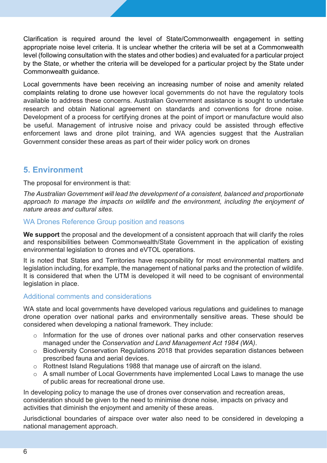Clarification is required around the level of State/Commonwealth engagement in setting appropriate noise level criteria. It is unclear whether the criteria will be set at a Commonwealth level (following consultation with the states and other bodies) and evaluated for a particular project by the State, or whether the criteria will be developed for a particular project by the State under Commonwealth guidance.

Local governments have been receiving an increasing number of noise and amenity related complaints relating to drone use however local governments do not have the regulatory tools available to address these concerns. Australian Government assistance is sought to undertake research and obtain National agreement on standards and conventions for drone noise. Development of a process for certifying drones at the point of import or manufacture would also be useful. Management of intrusive noise and privacy could be assisted through effective enforcement laws and drone pilot training, and WA agencies suggest that the Australian Government consider these areas as part of their wider policy work on drones

## **5. Environment**

The proposal for environment is that:

*The Australian Government will lead the development of a consistent, balanced and proportionate approach to manage the impacts on wildlife and the environment, including the enjoyment of nature areas and cultural sites.*

## WA Drones Reference Group position and reasons

**We support** the proposal and the development of a consistent approach that will clarify the roles and responsibilities between Commonwealth/State Government in the application of existing environmental legislation to drones and eVTOL operations.

It is noted that States and Territories have responsibility for most environmental matters and legislation including, for example, the management of national parks and the protection of wildlife. It is considered that when the UTM is developed it will need to be cognisant of environmental legislation in place.

#### Additional comments and considerations

WA state and local governments have developed various regulations and guidelines to manage drone operation over national parks and environmentally sensitive areas. These should be considered when developing a national framework. They include:

- o Information for the use of drones over national parks and other conservation reserves managed under the *Conservation and Land Management Act 1984 (WA)*.
- o Biodiversity Conservation Regulations 2018 that provides separation distances between prescribed fauna and aerial devices.
- o Rottnest Island Regulations 1988 that manage use of aircraft on the island.
- o A small number of Local Governments have implemented Local Laws to manage the use of public areas for recreational drone use.

In developing policy to manage the use of drones over conservation and recreation areas, consideration should be given to the need to minimise drone noise, impacts on privacy and activities that diminish the enjoyment and amenity of these areas.

Jurisdictional boundaries of airspace over water also need to be considered in developing a national management approach.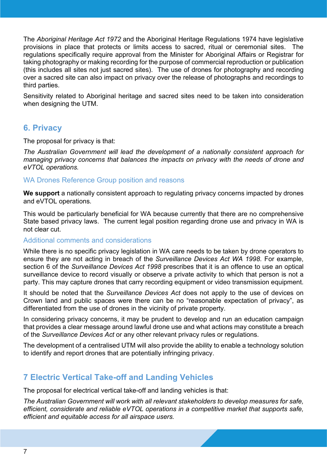The *Aboriginal Heritage Act 1972* and the Aboriginal Heritage Regulations 1974 have legislative provisions in place that protects or limits access to sacred, ritual or ceremonial sites. The regulations specifically require approval from the Minister for Aboriginal Affairs or Registrar for taking photography or making recording for the purpose of commercial reproduction or publication (this includes all sites not just sacred sites). The use of drones for photography and recording over a sacred site can also impact on privacy over the release of photographs and recordings to third parties.

Sensitivity related to Aboriginal heritage and sacred sites need to be taken into consideration when designing the UTM.

## **6. Privacy**

The proposal for privacy is that:

*The Australian Government will lead the development of a nationally consistent approach for managing privacy concerns that balances the impacts on privacy with the needs of drone and eVTOL operations.*

#### WA Drones Reference Group position and reasons

**We support** a nationally consistent approach to regulating privacy concerns impacted by drones and eVTOL operations.

This would be particularly beneficial for WA because currently that there are no comprehensive State based privacy laws. The current legal position regarding drone use and privacy in WA is not clear cut.

#### Additional comments and considerations

While there is no specific privacy legislation in WA care needs to be taken by drone operators to ensure they are not acting in breach of the *Surveillance Devices Act WA 1998*. For example, section 6 of the *Surveillance Devices Act 1998* prescribes that it is an offence to use an optical surveillance device to record visually or observe a private activity to which that person is not a party. This may capture drones that carry recording equipment or video transmission equipment.

It should be noted that the *Surveillance Devices Act* does not apply to the use of devices on Crown land and public spaces were there can be no "reasonable expectation of privacy", as differentiated from the use of drones in the vicinity of private property.

In considering privacy concerns, it may be prudent to develop and run an education campaign that provides a clear message around lawful drone use and what actions may constitute a breach of the *Surveillance Devices Act* or any other relevant privacy rules or regulations.

The development of a centralised UTM will also provide the ability to enable a technology solution to identify and report drones that are potentially infringing privacy.

# **7 Electric Vertical Take-off and Landing Vehicles**

The proposal for electrical vertical take-off and landing vehicles is that:

*The Australian Government will work with all relevant stakeholders to develop measures for safe, efficient, considerate and reliable eVTOL operations in a competitive market that supports safe, efficient and equitable access for all airspace users.*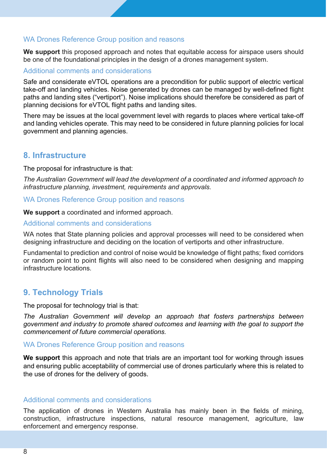### WA Drones Reference Group position and reasons

**We support** this proposed approach and notes that equitable access for airspace users should be one of the foundational principles in the design of a drones management system.

#### Additional comments and considerations

Safe and considerate eVTOL operations are a precondition for public support of electric vertical take-off and landing vehicles. Noise generated by drones can be managed by well-defined flight paths and landing sites ("vertiport"). Noise implications should therefore be considered as part of planning decisions for eVTOL flight paths and landing sites.

There may be issues at the local government level with regards to places where vertical take-off and landing vehicles operate. This may need to be considered in future planning policies for local government and planning agencies.

## **8. Infrastructure**

The proposal for infrastructure is that:

*The Australian Government will lead the development of a coordinated and informed approach to infrastructure planning, investment, requirements and approvals.*

#### WA Drones Reference Group position and reasons

**We support** a coordinated and informed approach.

#### Additional comments and considerations

WA notes that State planning policies and approval processes will need to be considered when designing infrastructure and deciding on the location of vertiports and other infrastructure.

Fundamental to prediction and control of noise would be knowledge of flight paths; fixed corridors or random point to point flights will also need to be considered when designing and mapping infrastructure locations.

# **9. Technology Trials**

The proposal for technology trial is that:

*The Australian Government will develop an approach that fosters partnerships between government and industry to promote shared outcomes and learning with the goal to support the commencement of future commercial operations.*

### WA Drones Reference Group position and reasons

**We support** this approach and note that trials are an important tool for working through issues and ensuring public acceptability of commercial use of drones particularly where this is related to the use of drones for the delivery of goods.

#### Additional comments and considerations

The application of drones in Western Australia has mainly been in the fields of mining, construction, infrastructure inspections, natural resource management, agriculture, law enforcement and emergency response.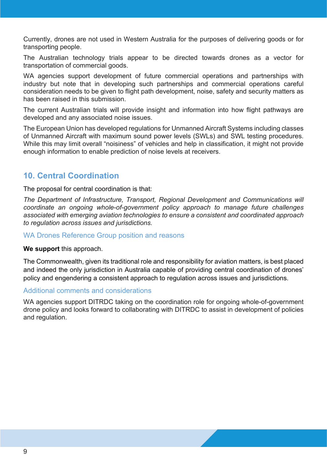Currently, drones are not used in Western Australia for the purposes of delivering goods or for transporting people.

The Australian technology trials appear to be directed towards drones as a vector for transportation of commercial goods.

WA agencies support development of future commercial operations and partnerships with industry but note that in developing such partnerships and commercial operations careful consideration needs to be given to flight path development, noise, safety and security matters as has been raised in this submission.

The current Australian trials will provide insight and information into how flight pathways are developed and any associated noise issues.

The European Union has developed regulations for Unmanned Aircraft Systems including classes of Unmanned Aircraft with maximum sound power levels (SWLs) and SWL testing procedures. While this may limit overall "noisiness" of vehicles and help in classification, it might not provide enough information to enable prediction of noise levels at receivers.

# **10. Central Coordination**

The proposal for central coordination is that:

*The Department of Infrastructure, Transport, Regional Development and Communications will coordinate an ongoing whole-of-government policy approach to manage future challenges associated with emerging aviation technologies to ensure a consistent and coordinated approach to regulation across issues and jurisdictions.*

#### WA Drones Reference Group position and reasons

#### **We support** this approach.

The Commonwealth, given its traditional role and responsibility for aviation matters, is best placed and indeed the only jurisdiction in Australia capable of providing central coordination of drones' policy and engendering a consistent approach to regulation across issues and jurisdictions.

#### Additional comments and considerations

WA agencies support DITRDC taking on the coordination role for ongoing whole-of-government drone policy and looks forward to collaborating with DITRDC to assist in development of policies and regulation.